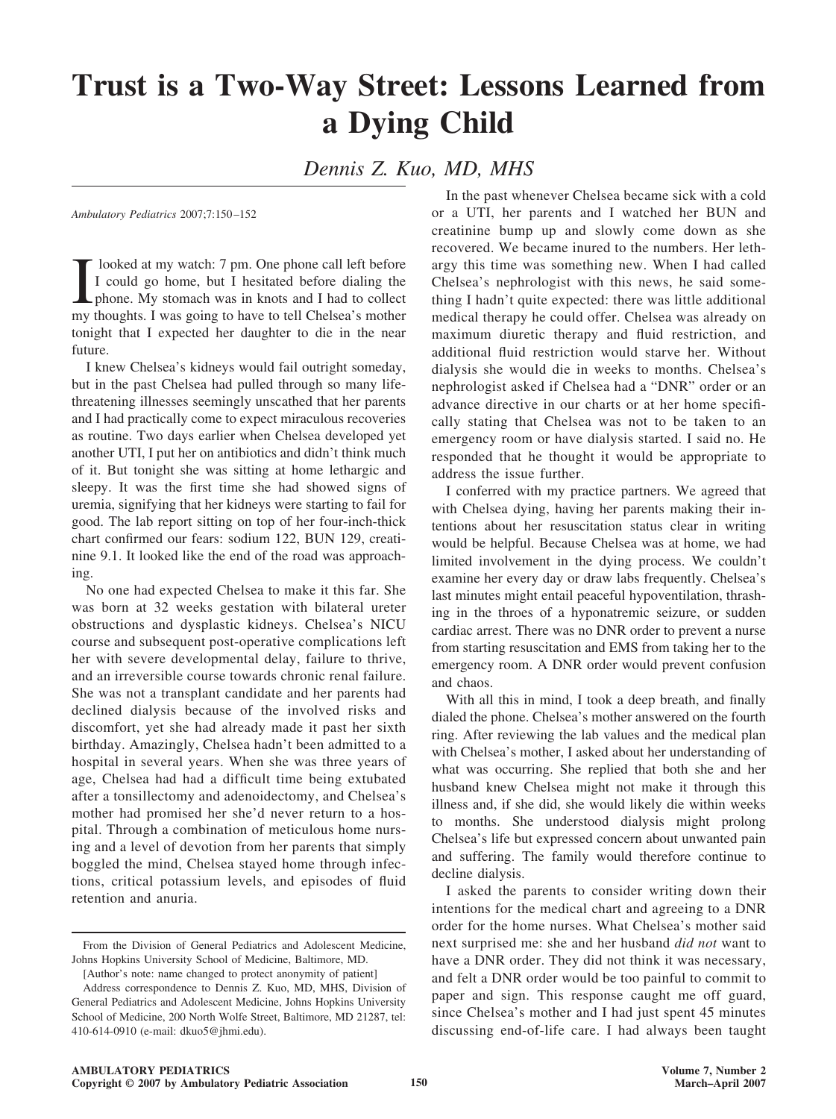## **Trust is a Two-Way Street: Lessons Learned from a Dying Child**

*Dennis Z. Kuo, MD, MHS*

*Ambulatory Pediatrics* 2007;7:150–152

I looked at my watch: 7 pm. One phone call left before I could go home, but I hesitated before dialing the phone. My stomach was in knots and I had to collect my thoughts. I was going to have to tell Chelsea's mother looked at my watch: 7 pm. One phone call left before I could go home, but I hesitated before dialing the phone. My stomach was in knots and I had to collect tonight that I expected her daughter to die in the near future.

I knew Chelsea's kidneys would fail outright someday, but in the past Chelsea had pulled through so many lifethreatening illnesses seemingly unscathed that her parents and I had practically come to expect miraculous recoveries as routine. Two days earlier when Chelsea developed yet another UTI, I put her on antibiotics and didn't think much of it. But tonight she was sitting at home lethargic and sleepy. It was the first time she had showed signs of uremia, signifying that her kidneys were starting to fail for good. The lab report sitting on top of her four-inch-thick chart confirmed our fears: sodium 122, BUN 129, creatinine 9.1. It looked like the end of the road was approaching.

No one had expected Chelsea to make it this far. She was born at 32 weeks gestation with bilateral ureter obstructions and dysplastic kidneys. Chelsea's NICU course and subsequent post-operative complications left her with severe developmental delay, failure to thrive, and an irreversible course towards chronic renal failure. She was not a transplant candidate and her parents had declined dialysis because of the involved risks and discomfort, yet she had already made it past her sixth birthday. Amazingly, Chelsea hadn't been admitted to a hospital in several years. When she was three years of age, Chelsea had had a difficult time being extubated after a tonsillectomy and adenoidectomy, and Chelsea's mother had promised her she'd never return to a hospital. Through a combination of meticulous home nursing and a level of devotion from her parents that simply boggled the mind, Chelsea stayed home through infections, critical potassium levels, and episodes of fluid retention and anuria.

In the past whenever Chelsea became sick with a cold or a UTI, her parents and I watched her BUN and creatinine bump up and slowly come down as she recovered. We became inured to the numbers. Her lethargy this time was something new. When I had called Chelsea's nephrologist with this news, he said something I hadn't quite expected: there was little additional medical therapy he could offer. Chelsea was already on maximum diuretic therapy and fluid restriction, and additional fluid restriction would starve her. Without dialysis she would die in weeks to months. Chelsea's nephrologist asked if Chelsea had a "DNR" order or an advance directive in our charts or at her home specifically stating that Chelsea was not to be taken to an emergency room or have dialysis started. I said no. He responded that he thought it would be appropriate to address the issue further.

I conferred with my practice partners. We agreed that with Chelsea dying, having her parents making their intentions about her resuscitation status clear in writing would be helpful. Because Chelsea was at home, we had limited involvement in the dying process. We couldn't examine her every day or draw labs frequently. Chelsea's last minutes might entail peaceful hypoventilation, thrashing in the throes of a hyponatremic seizure, or sudden cardiac arrest. There was no DNR order to prevent a nurse from starting resuscitation and EMS from taking her to the emergency room. A DNR order would prevent confusion and chaos.

With all this in mind, I took a deep breath, and finally dialed the phone. Chelsea's mother answered on the fourth ring. After reviewing the lab values and the medical plan with Chelsea's mother, I asked about her understanding of what was occurring. She replied that both she and her husband knew Chelsea might not make it through this illness and, if she did, she would likely die within weeks to months. She understood dialysis might prolong Chelsea's life but expressed concern about unwanted pain and suffering. The family would therefore continue to decline dialysis.

I asked the parents to consider writing down their intentions for the medical chart and agreeing to a DNR order for the home nurses. What Chelsea's mother said next surprised me: she and her husband *did not* want to have a DNR order. They did not think it was necessary, and felt a DNR order would be too painful to commit to paper and sign. This response caught me off guard, since Chelsea's mother and I had just spent 45 minutes discussing end-of-life care. I had always been taught

From the Division of General Pediatrics and Adolescent Medicine, Johns Hopkins University School of Medicine, Baltimore, MD.

<sup>[</sup>Author's note: name changed to protect anonymity of patient] Address correspondence to Dennis Z. Kuo, MD, MHS, Division of General Pediatrics and Adolescent Medicine, Johns Hopkins University School of Medicine, 200 North Wolfe Street, Baltimore, MD 21287, tel: 410-614-0910 (e-mail: dkuo5@jhmi.edu).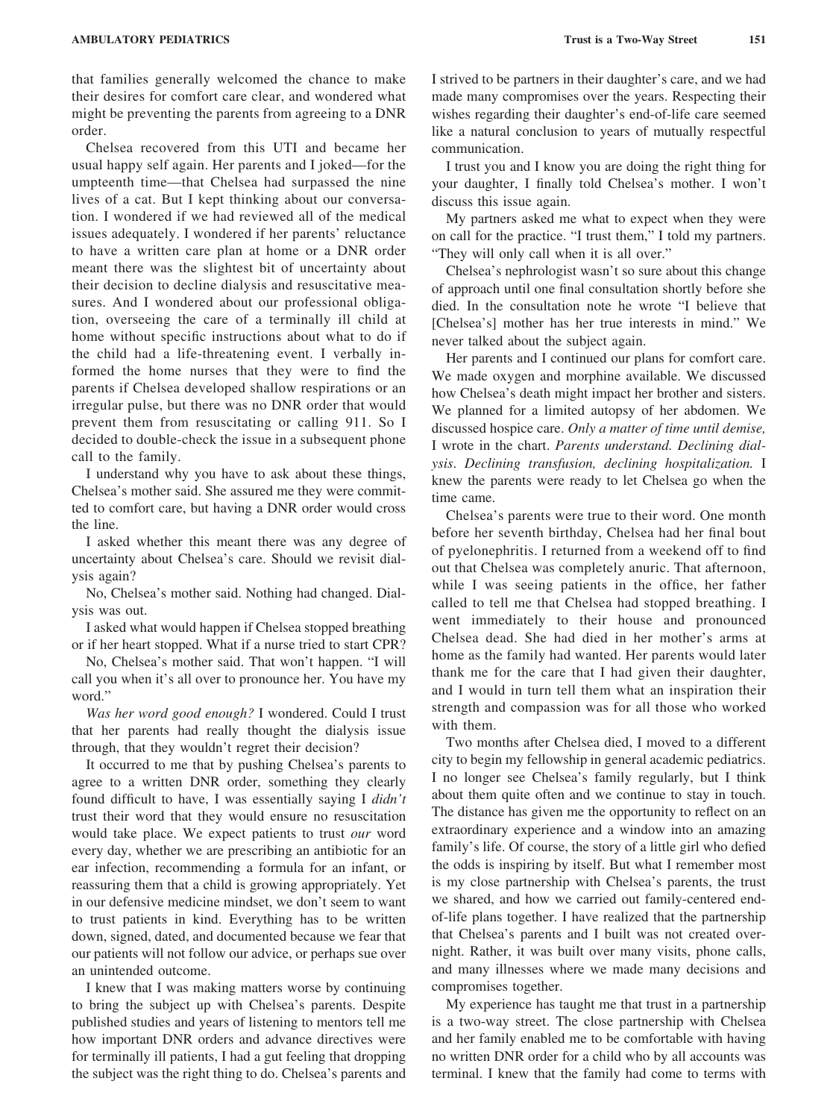that families generally welcomed the chance to make their desires for comfort care clear, and wondered what might be preventing the parents from agreeing to a DNR order.

Chelsea recovered from this UTI and became her usual happy self again. Her parents and I joked—for the umpteenth time—that Chelsea had surpassed the nine lives of a cat. But I kept thinking about our conversation. I wondered if we had reviewed all of the medical issues adequately. I wondered if her parents' reluctance to have a written care plan at home or a DNR order meant there was the slightest bit of uncertainty about their decision to decline dialysis and resuscitative measures. And I wondered about our professional obligation, overseeing the care of a terminally ill child at home without specific instructions about what to do if the child had a life-threatening event. I verbally informed the home nurses that they were to find the parents if Chelsea developed shallow respirations or an irregular pulse, but there was no DNR order that would prevent them from resuscitating or calling 911. So I decided to double-check the issue in a subsequent phone call to the family.

I understand why you have to ask about these things, Chelsea's mother said. She assured me they were committed to comfort care, but having a DNR order would cross the line.

I asked whether this meant there was any degree of uncertainty about Chelsea's care. Should we revisit dialysis again?

No, Chelsea's mother said. Nothing had changed. Dialysis was out.

I asked what would happen if Chelsea stopped breathing or if her heart stopped. What if a nurse tried to start CPR?

No, Chelsea's mother said. That won't happen. "I will call you when it's all over to pronounce her. You have my word."

*Was her word good enough?* I wondered. Could I trust that her parents had really thought the dialysis issue through, that they wouldn't regret their decision?

It occurred to me that by pushing Chelsea's parents to agree to a written DNR order, something they clearly found difficult to have, I was essentially saying I *didn't* trust their word that they would ensure no resuscitation would take place. We expect patients to trust *our* word every day, whether we are prescribing an antibiotic for an ear infection, recommending a formula for an infant, or reassuring them that a child is growing appropriately. Yet in our defensive medicine mindset, we don't seem to want to trust patients in kind. Everything has to be written down, signed, dated, and documented because we fear that our patients will not follow our advice, or perhaps sue over an unintended outcome.

I knew that I was making matters worse by continuing to bring the subject up with Chelsea's parents. Despite published studies and years of listening to mentors tell me how important DNR orders and advance directives were for terminally ill patients, I had a gut feeling that dropping the subject was the right thing to do. Chelsea's parents and I strived to be partners in their daughter's care, and we had made many compromises over the years. Respecting their wishes regarding their daughter's end-of-life care seemed like a natural conclusion to years of mutually respectful communication.

I trust you and I know you are doing the right thing for your daughter, I finally told Chelsea's mother. I won't discuss this issue again.

My partners asked me what to expect when they were on call for the practice. "I trust them," I told my partners. "They will only call when it is all over."

Chelsea's nephrologist wasn't so sure about this change of approach until one final consultation shortly before she died. In the consultation note he wrote "I believe that [Chelsea's] mother has her true interests in mind." We never talked about the subject again.

Her parents and I continued our plans for comfort care. We made oxygen and morphine available. We discussed how Chelsea's death might impact her brother and sisters. We planned for a limited autopsy of her abdomen. We discussed hospice care. *Only a matter of time until demise,* I wrote in the chart. *Parents understand. Declining dialysis*. *Declining transfusion, declining hospitalization.* I knew the parents were ready to let Chelsea go when the time came.

Chelsea's parents were true to their word. One month before her seventh birthday, Chelsea had her final bout of pyelonephritis. I returned from a weekend off to find out that Chelsea was completely anuric. That afternoon, while I was seeing patients in the office, her father called to tell me that Chelsea had stopped breathing. I went immediately to their house and pronounced Chelsea dead. She had died in her mother's arms at home as the family had wanted. Her parents would later thank me for the care that I had given their daughter, and I would in turn tell them what an inspiration their strength and compassion was for all those who worked with them.

Two months after Chelsea died, I moved to a different city to begin my fellowship in general academic pediatrics. I no longer see Chelsea's family regularly, but I think about them quite often and we continue to stay in touch. The distance has given me the opportunity to reflect on an extraordinary experience and a window into an amazing family's life. Of course, the story of a little girl who defied the odds is inspiring by itself. But what I remember most is my close partnership with Chelsea's parents, the trust we shared, and how we carried out family-centered endof-life plans together. I have realized that the partnership that Chelsea's parents and I built was not created overnight. Rather, it was built over many visits, phone calls, and many illnesses where we made many decisions and compromises together.

My experience has taught me that trust in a partnership is a two-way street. The close partnership with Chelsea and her family enabled me to be comfortable with having no written DNR order for a child who by all accounts was terminal. I knew that the family had come to terms with